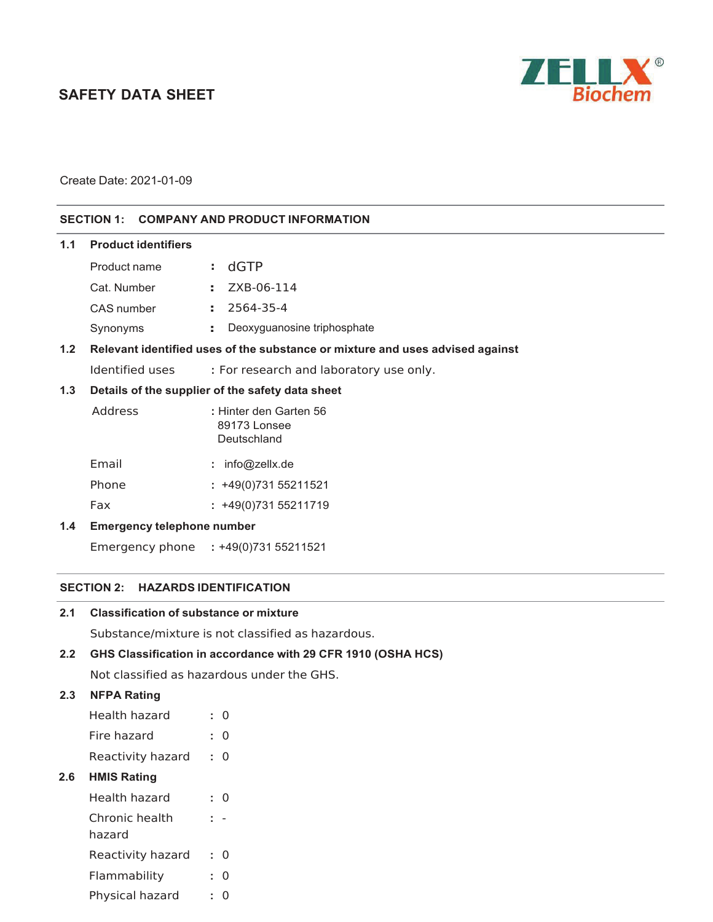# **SAFETY DATA SHEET**



Create Date: 2021-01-09

# **SECTION 1: COMPANY AND PRODUCT INFORMATION**

#### **1.1 Product identifiers**  Product name Cat. Number CAS number Synonyms **:** d\*TP **:** ZXB-06-11 **: :** Deoxyguanosine triphosphate **1.2 Relevant identified uses of the substance or mixture and uses advised against**  Identified uses **:** For research and laboratory use only. **1.3 Details of the supplier of the safety data sheet**  Address **:** Hinter den Garten 56 89173 Lonsee Deutschland Email Phone Fax : info@zellx.de **:** +49(0)731 55211521 **:** +49(0)731 55211719 **1.4 Emergency telephone number**

Emergency phone **:** +49(0)731 55211521

#### **SECTION 2: HAZARDS IDENTIFICATION**

| 2.1 | <b>Classification of substance or mixture</b> |  |  |
|-----|-----------------------------------------------|--|--|
|-----|-----------------------------------------------|--|--|

Substance/mixture is not classified as hazardous.

# **2.2 GHS Classification in accordance with 29 CFR 1910 (OSHA HCS)**

Not classified as hazardous under the GHS.

#### **2.3 NFPA Rating**

**2.6 HMIS Rating** 

| Health hazard            |         |
|--------------------------|---------|
| Fire hazard              | 0       |
| Reactivity hazard        | 0<br>÷. |
| <b>HMIS Rating</b>       |         |
| Health hazard            | O<br>٠. |
| Chronic health<br>hazard |         |
| Reactivity hazard        | O       |
| Flammability             | O       |
| Physical hazard          |         |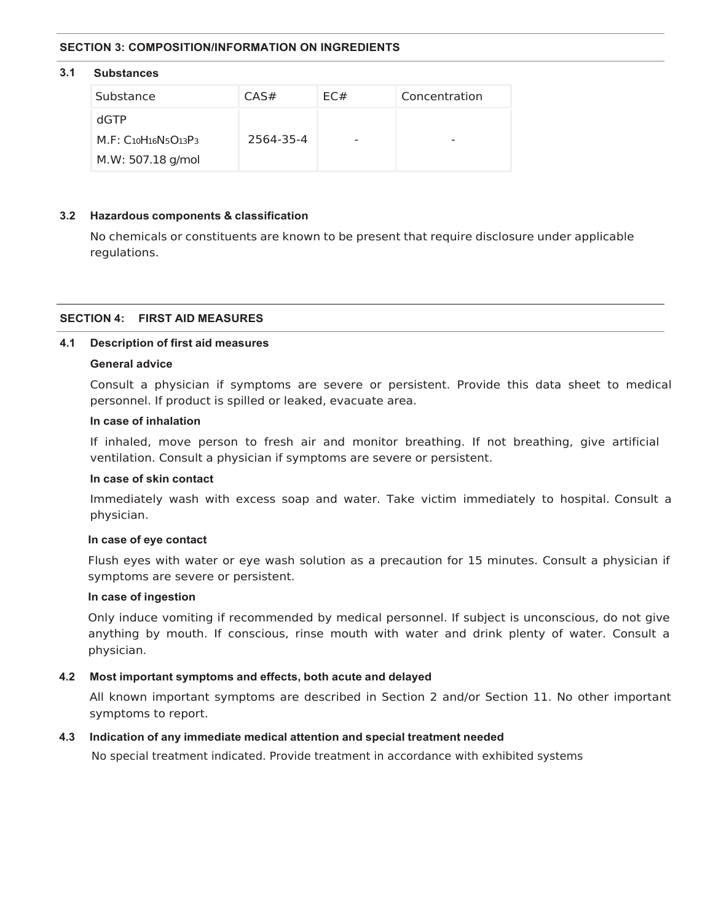#### **SECTION 3: COMPOSITION/INFORMATION ON INGREDIENTS**

#### **3.1 Substances**

| Substance                       | CAS#      | FC# | Concentration |
|---------------------------------|-----------|-----|---------------|
| dGTP                            |           |     |               |
| $M.F: C_{10}H_{16}N_5O_{13}P_3$ | 2564-35-4 | -   | -             |
| M.W: 507.18 g/mol               |           |     |               |

#### **3.2 Hazardous components & classification**

No chemicals or constituents are known to be present that require disclosure under applicable regulations.

#### **SECTION 4: FIRST AID MEASURES**

#### **4.1 Description of first aid measures**

#### **General advice**

Consult a physician if symptoms are severe or persistent. Provide this data sheet to medical personnel. If product is spilled or leaked, evacuate area.

#### **In case of inhalation**

If inhaled, move person to fresh air and monitor breathing. If not breathing, give artificial ventilation. Consult a physician if symptoms are severe or persistent.

#### **In case of skin contact**

Immediately wash with excess soap and water. Take victim immediately to hospital. Consult a physician.

#### **In case of eye contact**

Flush eyes with water or eye wash solution as a precaution for 15 minutes. Consult a physician if symptoms are severe or persistent.

# **In case of ingestion**

Only induce vomiting if recommended by medical personnel. If subject is unconscious, do not give anything by mouth. If conscious, rinse mouth with water and drink plenty of water. Consult a physician.

#### **4.2 Most important symptoms and effects, both acute and delayed**

All known important symptoms are described in Section 2 and/or Section 11. No other important symptoms to report.

#### **4.3 Indication of any immediate medical attention and special treatment needed**

No special treatment indicated. Provide treatment in accordance with exhibited systems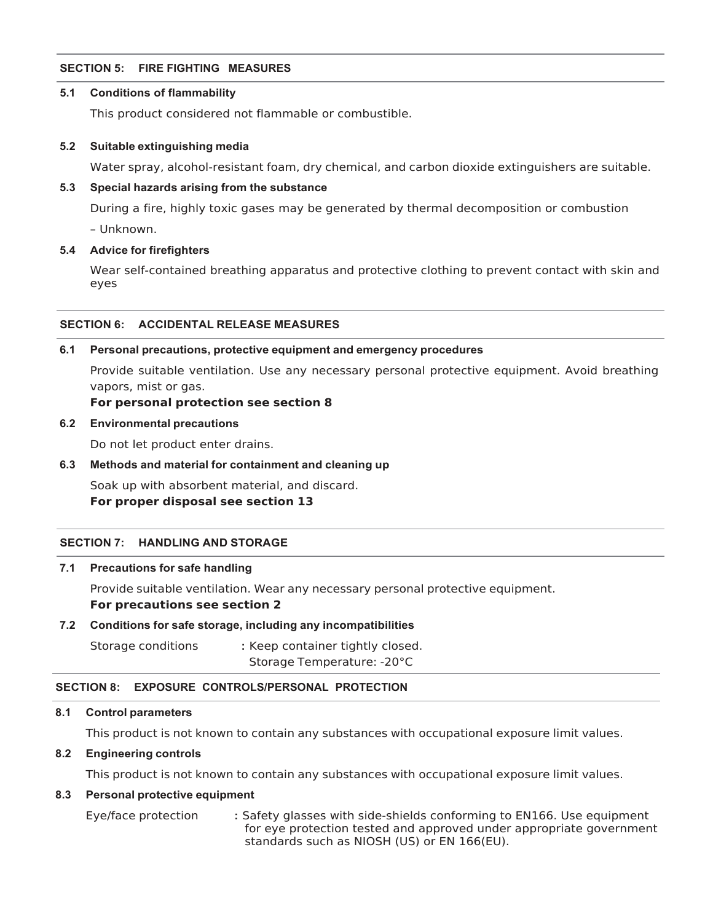#### **SECTION 5: FIRE FIGHTING MEASURES**

#### **5.1 Conditions of flammability**

This product considered not flammable or combustible.

#### **5.2 Suitable extinguishing media**

Water spray, alcohol-resistant foam, dry chemical, and carbon dioxide extinguishers are suitable.

#### **5.3 Special hazards arising from the substance**

During a fire, highly toxic gases may be generated by thermal decomposition or combustion

– Unknown.

#### **5.4 Advice for firefighters**

Wear self-contained breathing apparatus and protective clothing to prevent contact with skin and eyes

#### **SECTION 6: ACCIDENTAL RELEASE MEASURES**

#### **6.1 Personal precautions, protective equipment and emergency procedures**

Provide suitable ventilation. Use any necessary personal protective equipment. Avoid breathing vapors, mist or gas.

#### **For personal protection see section 8**

#### **6.2 Environmental precautions**

Do not let product enter drains.

#### **6.3 Methods and material for containment and cleaning up**

Soak up with absorbent material, and discard. **For proper disposal see section 13** 

#### **SECTION 7: HANDLING AND STORAGE**

#### **7.1 Precautions for safe handling**

Provide suitable ventilation. Wear any necessary personal protective equipment. **For precautions see section 2** 

#### **7.2 Conditions for safe storage, including any incompatibilities**

Storage conditions **:** Keep container tightly closed. Storage Temperature: -20°C

#### **SECTION 8: EXPOSURE CONTROLS/PERSONAL PROTECTION**

#### **8.1 Control parameters**

This product is not known to contain any substances with occupational exposure limit values.

# **8.2 Engineering controls**

This product is not known to contain any substances with occupational exposure limit values.

#### **8.3 Personal protective equipment**

Eye/face protection **:** Safety glasses with side-shields conforming to EN166. Use equipment for eye protection tested and approved under appropriate government standards such as NIOSH (US) or EN 166(EU).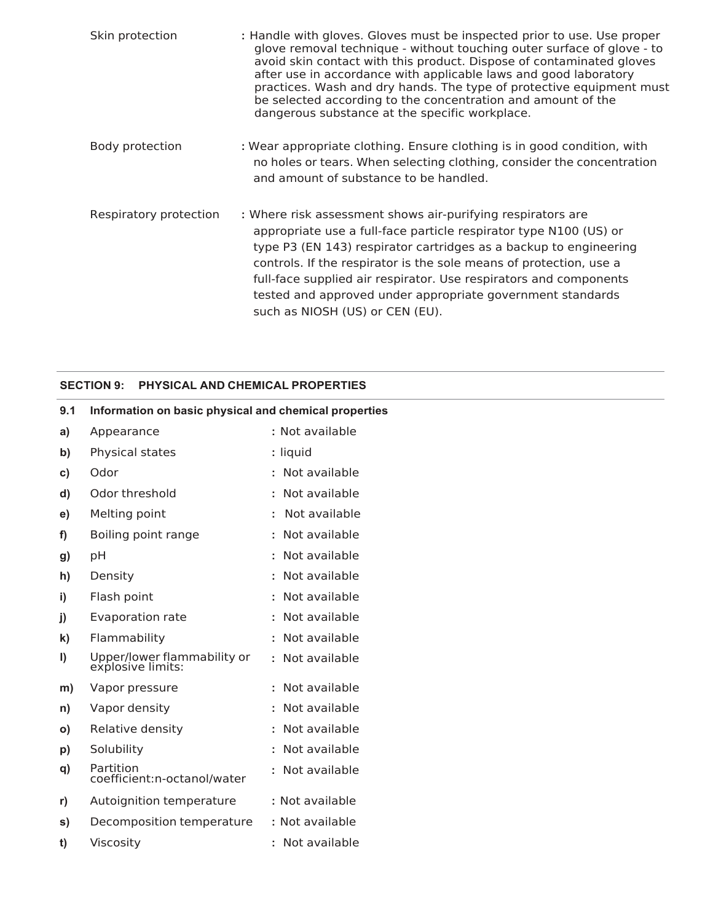| Skin protection        | : Handle with gloves. Gloves must be inspected prior to use. Use proper<br>glove removal technique - without touching outer surface of glove - to<br>avoid skin contact with this product. Dispose of contaminated gloves<br>after use in accordance with applicable laws and good laboratory<br>practices. Wash and dry hands. The type of protective equipment must<br>be selected according to the concentration and amount of the<br>dangerous substance at the specific workplace. |
|------------------------|-----------------------------------------------------------------------------------------------------------------------------------------------------------------------------------------------------------------------------------------------------------------------------------------------------------------------------------------------------------------------------------------------------------------------------------------------------------------------------------------|
| Body protection        | : Wear appropriate clothing. Ensure clothing is in good condition, with<br>no holes or tears. When selecting clothing, consider the concentration<br>and amount of substance to be handled.                                                                                                                                                                                                                                                                                             |
| Respiratory protection | : Where risk assessment shows air-purifying respirators are<br>appropriate use a full-face particle respirator type N100 (US) or<br>type P3 (EN 143) respirator cartridges as a backup to engineering<br>controls. If the respirator is the sole means of protection, use a<br>full-face supplied air respirator. Use respirators and components<br>tested and approved under appropriate government standards<br>such as NIOSH (US) or CEN (EU).                                       |

# **SECTION 9: PHYSICAL AND CHEMICAL PROPERTIES**

| 9.1          | Information on basic physical and chemical properties |                 |
|--------------|-------------------------------------------------------|-----------------|
| a)           | Appearance                                            | : Not available |
| b)           | Physical states                                       | : liquid        |
| C)           | Odor                                                  | : Not available |
| d)           | Odor threshold                                        | : Not available |
| e)           | Melting point                                         | : Not available |
| f)           | Boiling point range                                   | : Not available |
| g)           | pH                                                    | : Not available |
| h)           | Density                                               | : Not available |
| i)           | Flash point                                           | : Not available |
| j)           | Evaporation rate                                      | : Not available |
| k)           | Flammability                                          | : Not available |
| $\vert$      | Upper/lower flammability or<br>explosive limits:      | : Not available |
| m)           | Vapor pressure                                        | : Not available |
| n)           | Vapor density                                         | : Not available |
| $\mathsf{o}$ | Relative density                                      | : Not available |
| p)           | Solubility                                            | : Not available |
| q)           | Partition<br>coefficient:n-octanol/water              | : Not available |
| r)           | Autoignition temperature                              | : Not available |
| s)           | Decomposition temperature                             | : Not available |
| t)           | Viscosity                                             | : Not available |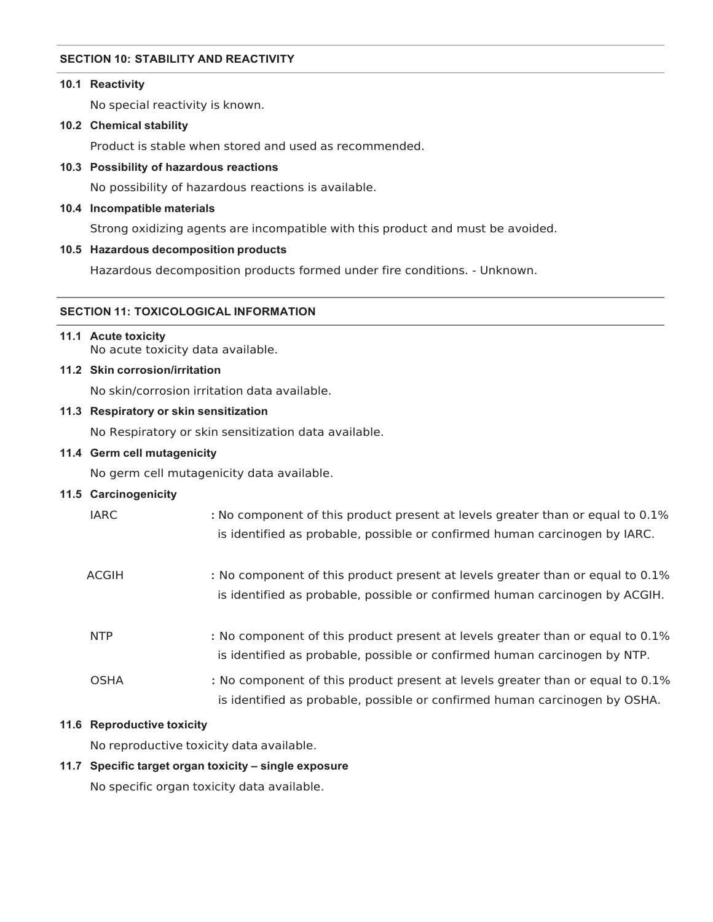#### **SECTION 10: STABILITY AND REACTIVITY**

# **10.1 Reactivity**

No special reactivity is known.

#### **10.2 Chemical stability**

Product is stable when stored and used as recommended.

# **10.3 Possibility of hazardous reactions**

No possibility of hazardous reactions is available.

#### **10.4 Incompatible materials**

Strong oxidizing agents are incompatible with this product and must be avoided.

# **10.5 Hazardous decomposition products**

Hazardous decomposition products formed under fire conditions. - Unknown.

# **SECTION 11: TOXICOLOGICAL INFORMATION**

# **11.1 Acute toxicity**

No acute toxicity data available.

# **11.2 Skin corrosion/irritation**

No skin/corrosion irritation data available.

# **11.3 Respiratory or skin sensitization**

No Respiratory or skin sensitization data available.

# **11.4 Germ cell mutagenicity**

No germ cell mutagenicity data available.

# **11.5 Carcinogenicity**

| <b>IARC</b>  | : No component of this product present at levels greater than or equal to 0.1%<br>is identified as probable, possible or confirmed human carcinogen by IARC.  |
|--------------|---------------------------------------------------------------------------------------------------------------------------------------------------------------|
| <b>ACGIH</b> | : No component of this product present at levels greater than or equal to 0.1%<br>is identified as probable, possible or confirmed human carcinogen by ACGIH. |
| <b>NTP</b>   | : No component of this product present at levels greater than or equal to 0.1%<br>is identified as probable, possible or confirmed human carcinogen by NTP.   |
| <b>OSHA</b>  | : No component of this product present at levels greater than or equal to 0.1%<br>is identified as probable, possible or confirmed human carcinogen by OSHA.  |

# **11.6 Reproductive toxicity**

No reproductive toxicity data available.

# **11.7 Specific target organ toxicity – single exposure**

No specific organ toxicity data available.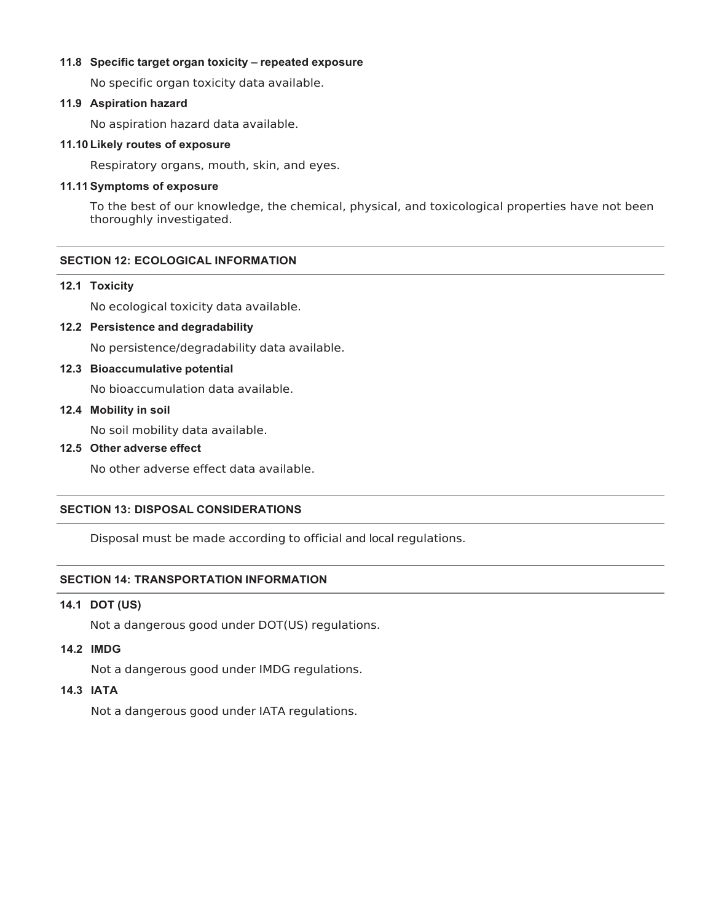# **11.8 Specific target organ toxicity – repeated exposure**

No specific organ toxicity data available.

# **11.9 Aspiration hazard**

No aspiration hazard data available.

# **11.10 Likely routes of exposure**

Respiratory organs, mouth, skin, and eyes.

# **11.11 Symptoms of exposure**

To the best of our knowledge, the chemical, physical, and toxicological properties have not been thoroughly investigated.

# **SECTION 12: ECOLOGICAL INFORMATION**

#### **12.1 Toxicity**

No ecological toxicity data available.

# **12.2 Persistence and degradability**

No persistence/degradability data available.

# **12.3 Bioaccumulative potential**

No bioaccumulation data available.

# **12.4 Mobility in soil**

No soil mobility data available.

# **12.5 Other adverse effect**

No other adverse effect data available.

#### **SECTION 13: DISPOSAL CONSIDERATIONS**

Disposal must be made according to official and local regulations.

# **SECTION 14: TRANSPORTATION INFORMATION**

# **14.1 DOT (US)**

Not a dangerous good under DOT(US) regulations.

### **14.2 IMDG**

Not a dangerous good under IMDG regulations.

# **14.3 IATA**

Not a dangerous good under IATA regulations.